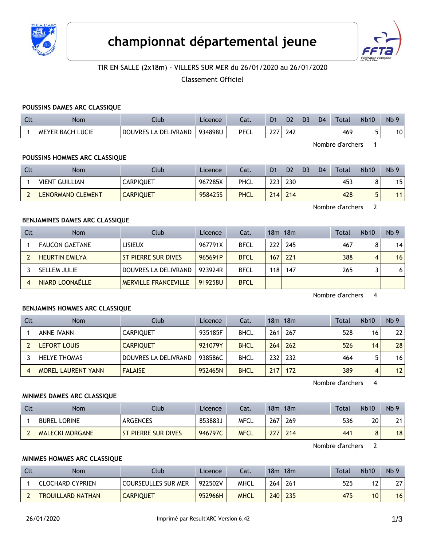



# TIR EN SALLE (2x18m) - VILLERS SUR MER du 26/01/2020 au 26/01/2020

Classement Officiel

#### **POUSSINS DAMES ARC CLASSIQUE**

| $\sim$<br>นเ | Nom                     | Llub                           | Licence | $\sim$<br>cal. | D <sub>1</sub> | D2  | D3 | D <sub>4</sub> | Total | <b>Nb10</b> | N <sub>b</sub> 9 |
|--------------|-------------------------|--------------------------------|---------|----------------|----------------|-----|----|----------------|-------|-------------|------------------|
|              | <b>MEYER BACH LUCIE</b> | LA DELIVRAND<br><b>DOUVRES</b> | 934898U | PFCL           | $\sim$<br>LL   | 242 |    |                | 469   | -           | 10               |

Nombre d'archers 1

# **POUSSINS HOMMES ARC CLASSIQUE**

| Clt | <b>Nom</b>            | Club             | Licence | Cat.        | D <sub>1</sub> | D <sub>2</sub> | D <sub>3</sub> | D <sub>4</sub> | Total | <b>Nb10</b> | Nb <sub>9</sub> |
|-----|-----------------------|------------------|---------|-------------|----------------|----------------|----------------|----------------|-------|-------------|-----------------|
|     | <b>VIENT GUILLIAN</b> | CARPIQUET        | 967285X | PHCL        | ววว            | 230            |                |                | 453   | ິ<br>Ο      | 15              |
|     | LENORMAND CLEMENT     | <b>CARPIQUET</b> | 9584255 | <b>PHCL</b> | 214            | 214            |                |                | 428   |             | 11 <sub>1</sub> |

Nombre d'archers 2

# **BENJAMINES DAMES ARC CLASSIQUE**

| Clt | <b>Nom</b>            | Club                        | Licence | Cat.        |     | 18m 18m |  | <b>Total</b> | <b>Nb10</b> | Nb <sub>9</sub> |
|-----|-----------------------|-----------------------------|---------|-------------|-----|---------|--|--------------|-------------|-----------------|
|     | <b>FAUCON GAETANE</b> | LISIEUX                     | 967791X | <b>BFCL</b> | 222 | 245     |  | 467          |             | 14              |
|     | <b>HEURTIN EMILYA</b> | ST PIERRE SUR DIVES         | 965691P | <b>BFCL</b> | 167 | 221     |  | 388          |             | 16              |
|     | SELLEM JULIE          | DOUVRES LA DELIVRAND        | 923924R | <b>BFCL</b> | 118 | 147     |  | 265          |             | 6               |
|     | NIARD LOONAËLLE       | <b>MERVILLE FRANCEVILLE</b> | 919258U | <b>BFCL</b> |     |         |  |              |             |                 |

Nombre d'archers 4

#### **BENJAMINS HOMMES ARC CLASSIQUE**

| Clt | <b>Nom</b>                | Club                 | Licence | Cat.        |     | 18m 18m |  | <b>Total</b> | <b>Nb10</b> | Nb <sub>9</sub> |
|-----|---------------------------|----------------------|---------|-------------|-----|---------|--|--------------|-------------|-----------------|
|     | <b>ANNE IVANN</b>         | <b>CARPIOUET</b>     | 935185F | <b>BHCL</b> | 261 | 267     |  | 528          | 16          | 22              |
|     | LEFORT LOUIS              | <b>CARPIOUET</b>     | 921079Y | <b>BHCL</b> | 264 | 262     |  | 526          | 14          | 28              |
|     | <b>HELYE THOMAS</b>       | DOUVRES LA DELIVRAND | 938586C | <b>BHCL</b> | 232 | 232     |  | 464          |             | 16 <sup>1</sup> |
|     | <b>MOREL LAURENT YANN</b> | <b>FALAISE</b>       | 952465N | <b>BHCL</b> | 217 | 172     |  | 389          | 4           | 12              |

Nombre d'archers 4

#### **MINIMES DAMES ARC CLASSIQUE**

| Clt | Nom                    | Club                       | Licence | Cat.        | 18m | 18m |  | Total | <b>Nb10</b> | Nb <sub>9</sub> |
|-----|------------------------|----------------------------|---------|-------------|-----|-----|--|-------|-------------|-----------------|
|     | <b>BUREL LORINE</b>    | <b>ARGENCES</b>            | 853883J | <b>MFCL</b> | 267 | 269 |  | 536   | 20          | 21              |
|     | <b>MALECKI MORGANE</b> | <b>ST PIERRE SUR DIVES</b> | 946797C | <b>MFCL</b> | 227 | 214 |  | 441   |             | 18              |

Nombre d'archers 2

#### **MINIMES HOMMES ARC CLASSIQUE**

| Clt | <b>Nom</b>               | ∶ิlub.                     | Licence | Cat.        | 18m | 18m |  | Total | <b>Nb10</b> | Nb <sub>9</sub> |
|-----|--------------------------|----------------------------|---------|-------------|-----|-----|--|-------|-------------|-----------------|
|     | <b>CLOCHARD CYPRIEN</b>  | <b>COURSEULLES SUR MER</b> | 922502V | <b>MHCL</b> | 264 | 261 |  | 525   | ໍາ          | דר<br>L I       |
|     | <b>TROUILLARD NATHAN</b> | <b>CARPIQUET</b>           | 952966H | <b>MHCL</b> | 240 | 235 |  | 475   | 10          | 16              |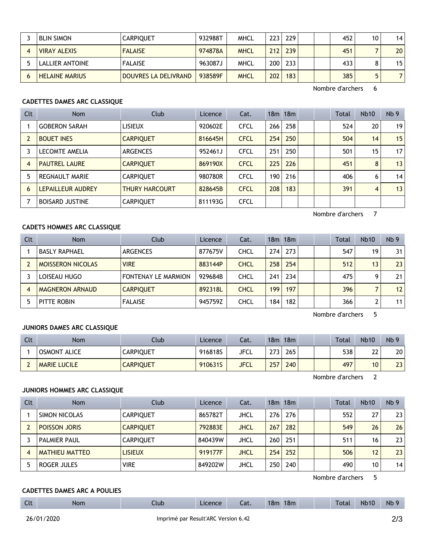| <b>BLIN SIMON</b>     | <b>CARPIQUET</b>     | 932988T | <b>MHCL</b> | $223 -$ | 229 |  | 452 | 10 | 14              |
|-----------------------|----------------------|---------|-------------|---------|-----|--|-----|----|-----------------|
| <b>VIRAY ALEXIS</b>   | <b>FALAISE</b>       | 974878A | <b>MHCL</b> | 212     | 239 |  | 451 |    | 20 <sub>1</sub> |
| LALLIER ANTOINE       | <b>FALAISE</b>       | 963087J | MHCL        | 200     | 233 |  | 433 |    | 15 <sub>1</sub> |
| <b>HELAINE MARIUS</b> | DOUVRES LA DELIVRAND | 938589F | <b>MHCL</b> | 202     | 183 |  | 385 |    |                 |

Nombre d'archers 6

# **CADETTES DAMES ARC CLASSIQUE**

| <b>Clt</b> | Nom                    | Club                  | Licence | Cat.        |                  | $18m$ 18 $m$ |  | <b>Total</b> | <b>Nb10</b>    | Nb <sub>9</sub> |
|------------|------------------------|-----------------------|---------|-------------|------------------|--------------|--|--------------|----------------|-----------------|
|            | <b>GOBERON SARAH</b>   | <b>LISIEUX</b>        | 920602E | <b>CFCL</b> | 266              | 258          |  | 524          | 20             | 19              |
|            | <b>BOUET INES</b>      | <b>CARPIQUET</b>      | 816645H | <b>CFCL</b> | 254              | 250          |  | 504          | 14             | 15              |
|            | LECOMTE AMELIA         | <b>ARGENCES</b>       | 952461J | <b>CFCL</b> | 251              | 250          |  | 501          | 15             | 17 <sup>1</sup> |
| 4          | <b>PAUTREL LAURE</b>   | <b>CARPIQUET</b>      | 869190X | <b>CFCL</b> | 225              | 226          |  | 451          | 8              | 13              |
|            | <b>REGNAULT MARIE</b>  | <b>CARPIQUET</b>      | 980780R | <b>CFCL</b> | 190 <sup>1</sup> | 216          |  | 406          | 6              | 14              |
| 6          | LEPAILLEUR AUDREY      | <b>THURY HARCOURT</b> | 828645B | <b>CFCL</b> | 208              | 183          |  | 391          | $\overline{4}$ | 13              |
|            | <b>BOISARD JUSTINE</b> | <b>CARPIQUET</b>      | 811193G | <b>CFCL</b> |                  |              |  |              |                |                 |

Nombre d'archers 7

# **CADETS HOMMES ARC CLASSIQUE**

| Clt | <b>Nom</b>               | Club                       | Licence | Cat.        |     | 18m 18m |  | Total | Nb10 | Nb <sub>9</sub> |
|-----|--------------------------|----------------------------|---------|-------------|-----|---------|--|-------|------|-----------------|
|     | <b>BASLY RAPHAEL</b>     | ARGENCES                   | 877675V | CHCL        | 274 | 273     |  | 547   | 19   | 31 <sub>1</sub> |
|     | <b>MOISSERON NICOLAS</b> | <b>VIRE</b>                | 883144P | <b>CHCL</b> | 258 | 254     |  | 512   | 13   | 23              |
|     | LOISEAU HUGO             | <b>FONTENAY LE MARMION</b> | 929684B | CHCL        | 241 | 234     |  | 475   | O    | 211             |
|     | <b>MAGNERON ARNAUD</b>   | <b>CARPIOUET</b>           | 892318L | <b>CHCL</b> | 199 | 197     |  | 396   |      | 12 <sup>1</sup> |
|     | PITTE ROBIN              | <b>FALAISE</b>             | 945759Z | CHCL        | 184 | 182     |  | 366   |      | 11 <sup>1</sup> |

Nombre d'archers 5

#### **JUNIORS DAMES ARC CLASSIQUE**

| Clt | Nom                 | Club.            | Licence | Cat.        | 18m | 18m |  | <b>Total</b> | <b>Nb10</b> | Nb <sub>9</sub> |
|-----|---------------------|------------------|---------|-------------|-----|-----|--|--------------|-------------|-----------------|
|     | <b>OSMONT ALICE</b> | CARPIQUET        | 916818S | JFCL        | 273 | 265 |  | 538          | 22<br>∸∸    | 20              |
|     | <b>MARIE LUCILE</b> | <b>CARPIQUET</b> | 910631S | <b>JFCL</b> | 257 | 240 |  | 497          | 10          | 23 <sup>1</sup> |

Nombre d'archers 2

# **JUNIORS HOMMES ARC CLASSIQUE**

| <b>Clt</b> | <b>Nom</b>            | Club             | Licence | Cat.        |     | $18m$ 18 $m$ |  | <b>Total</b> | <b>Nb10</b> | Nb <sub>9</sub> |
|------------|-----------------------|------------------|---------|-------------|-----|--------------|--|--------------|-------------|-----------------|
|            | SIMON NICOLAS         | <b>CARPIOUET</b> | 865782T | <b>JHCL</b> | 276 | 276          |  | 552          | 27          | 23              |
|            | POISSON JORIS         | <b>CARPIOUET</b> | 792883E | <b>JHCL</b> | 267 | 282          |  | 549          | 26          | 26              |
|            | <b>PALMIER PAUL</b>   | <b>CARPIOUET</b> | 840439W | <b>JHCL</b> | 260 | 251          |  | 511          | 16          | 23              |
|            | <b>MATHIEU MATTEO</b> | <b>LISIEUX</b>   | 919177F | <b>JHCL</b> | 254 | 252          |  | 506          | 12          | 23              |
|            | ROGER JULES           | <b>VIRE</b>      | 849202W | JHCL        | 250 | 240          |  | 490          | 10          | 14              |

Nombre d'archers 5

# **CADETTES DAMES ARC A POULIES**

| $-1$<br>๛แ | Nom | Llub | Licence | Cat. | 18n | 18m |  | l otal | <b>Nb10</b> | <b>Nb</b> |
|------------|-----|------|---------|------|-----|-----|--|--------|-------------|-----------|
|            |     |      |         |      |     |     |  |        |             |           |